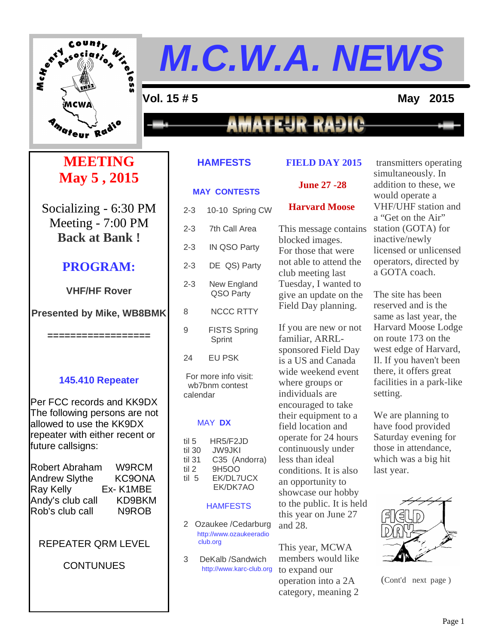

**=**

#### **Vol. 15 # 5 May 2015**

### **MATEUR-RADIO**

#### **MEETING May 5 , 2015**

Socializing - 6:30 PM Meeting - 7:00 PM **Back at Bank !**

#### **PROGRAM:**

#### **VHF/HF Rover**

**Presented by Mike, WB8BMK**

**==================**

#### **145.410 Repeater**

Per FCC records and KK9DX The following persons are not allowed to use the KK9DX repeater with either recent or future callsigns:

| Robert Abraham       | W9RCM              |
|----------------------|--------------------|
| <b>Andrew Slythe</b> | <b>KC9ONA</b>      |
| Ray Kelly            | Ex-K1MBE           |
| Andy's club call     | KD9BKM             |
| Rob's club call      | N <sub>9</sub> ROB |

#### REPEATER QRM LEVEL

#### **CONTUNUES**

#### **HAMFESTS**

#### **FIELD DAY 2015**

#### **MAY CONTESTS June 27 -28**

#### 2-3 10-10 Spring CW 2-3 7th Call Area 2-3 IN QSO Party 2-3 DE QS) Party 2-3 New England QSO Party 8 NCCC RTTY 9 FISTS Spring Sprint 24 EU PSK For more info visit: wb7bnm contest calendar MAY **DX** til 5 HR5/F2JD<br>til 30 JW9JKI til 30 JW9JKI til 31 C35 (Andorra) til 2 9H5OO til 5 EK/DL7UCX EK/DK7AO

#### **HAMFESTS**

- 2 Ozaukee /Cedarburg http://www.ozaukeeradio club.org
- 3 DeKalb /Sandwich http://www.karc-club.org

### **Harvard Moose**

This message contains blocked images. For those that were not able to attend the club meeting last Tuesday, I wanted to give an update on the Field Day planning.

If you are new or not familiar, ARRLsponsored Field Day is a US and Canada wide weekend event where groups or individuals are encouraged to take their equipment to a field location and operate for 24 hours continuously under less than ideal conditions. It is also an opportunity to showcase our hobby to the public. It is held this year on June 27 and 28.

This year, MCWA members would like to expand our operation into a 2A category, meaning 2

transmitters operating simultaneously. In addition to these, we would operate a VHF/UHF station and a "Get on the Air" station (GOTA) for inactive/newly licensed or unlicensed operators, directed by a GOTA coach.

The site has been reserved and is the same as last year, the Harvard Moose Lodge on route 173 on the west edge of Harvard, Il. If you haven't been there, it offers great facilities in a park-like setting.

We are planning to have food provided Saturday evening for those in attendance, which was a big hit last year.



(Cont'd next page )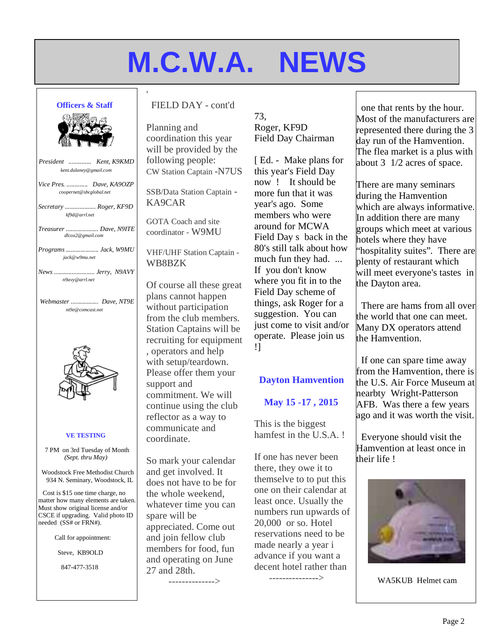#### **Officers & Staff**



| President  Kent, K9KMD<br>kent.dulaney@gmail.com    |
|-----------------------------------------------------|
| Vice Pres.  Dave, KA9OZP<br>coopernet@sbcglobal.net |
| Secretary  Roger, KF9D<br>kf9d@arrl.net             |
| Treasurer  Dave, N9ITE<br>dlcox2@gmail.com          |
| Programs  Jack, W9MU<br>jack@w9mu.net               |
| News  Jerry, N9AVY<br>n9avy@arrl.net                |
| Webmaster  Dave, NT9E<br>nt9e@comcast.net           |
|                                                     |
|                                                     |
| <b>VE TESTING</b>                                   |
| 7 PM on 3rd Tuesday of Month<br>(Sept. thru May)    |

Cost is \$15 one time charge, no matter how many elements are taken. Must show original license and/or CSCE if upgrading. Valid photo ID needed (SS# or FRN#).

Call for appointment:

Steve, KB9OLD

847-477-3518

FIELD DAY - cont'd

'

Planning and coordination this year will be provided by the following people: CW Station Captain -N7US

SSB/Data Station Captain - KA9CAR

GOTA Coach and site coordinator - W9MU

VHF/UHF Station Captain - WB8BZK

Of course all these great plans cannot happen without participation from the club members. Station Captains will be recruiting for equipment , operators and help with setup/teardown. Please offer them your support and commitment. We will continue using the club reflector as a way to communicate and coordinate.

So mark your calendar and get involved. It does not have to be for the whole weekend, whatever time you can spare will be appreciated. Come out and join fellow club members for food, fun and operating on June 27 and 28th.

-------------->

73, Roger, KF9D Field Day Chairman

[ Ed. - Make plans for this year's Field Day now ! It should be more fun that it was year's ago. Some members who were around for MCWA Field Day s back in the 80's still talk about how much fun they had. ... If you don't know where you fit in to the Field Day scheme of things, ask Roger for a suggestion. You can just come to visit and/or operate. Please join us !]

#### **Dayton Hamvention**

#### **May 15 -17 , 2015**

This is the biggest hamfest in the U.S.A. !

If one has never been there, they owe it to themselve to to put this one on their calendar at least once. Usually the numbers run upwards of 20,000 or so. Hotel reservations need to be made nearly a year i advance if you want a decent hotel rather than

--------------->

one that rents by the hour. Most of the manufacturers are represented there during the 3 day run of the Hamvention. The flea market is a plus with about 3 1/2 acres of space.

There are many seminars during the Hamvention which are always informative. In addition there are many groups which meet at various hotels where they have "hospitality suites". There are plenty of restaurant which will meet everyone's tastes in the Dayton area.

There are hams from all over the world that one can meet. Many DX operators attend the Hamvention.

If one can spare time away from the Hamvention, there is the U.S. Air Force Museum at nearbty Wright-Patterson AFB. Was there a few years ago and it was worth the visit.

Everyone should visit the Hamvention at least once in their life !



WA5KUB Helmet cam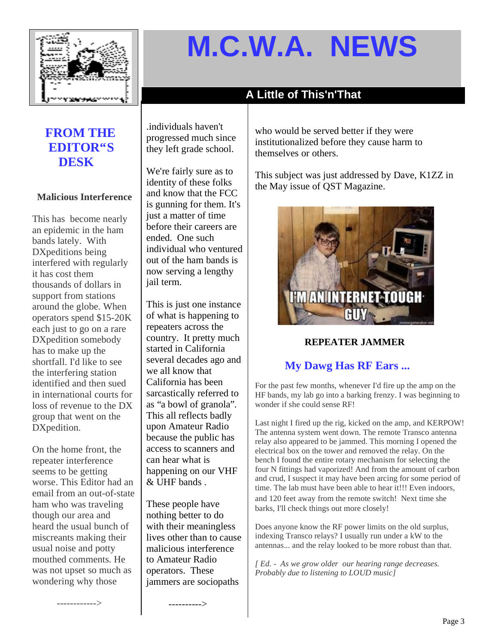

#### **A Little of This'n'That**

#### **FROM THE EDITOR"S DESK**

#### **Malicious Interference**

This has become nearly an epidemic in the ham bands lately. With DXpeditions being interfered with regularly it has cost them thousands of dollars in support from stations around the globe. When operators spend \$15-20K each just to go on a rare DXpedition somebody has to make up the shortfall. I'd like to see the interfering station identified and then sued in international courts for loss of revenue to the DX group that went on the DXpedition.

On the home front, the repeater interference seems to be getting worse. This Editor had an email from an out-of-state ham who was traveling though our area and heard the usual bunch of miscreants making their usual noise and potty mouthed comments. He was not upset so much as wondering why those

------------>

.individuals haven't progressed much since they left grade school.

We're fairly sure as to identity of these folks and know that the FCC is gunning for them. It's just a matter of time before their careers are ended. One such individual who ventured out of the ham bands is now serving a lengthy jail term.

This is just one instance of what is happening to repeaters across the country. It pretty much started in California several decades ago and we all know that California has been sarcastically referred to as "a bowl of granola". This all reflects badly upon Amateur Radio because the public has access to scanners and can hear what is happening on our VHF & UHF bands .

These people have nothing better to do with their meaningless lives other than to cause malicious interference to Amateur Radio operators. These jammers are sociopaths

---------->

who would be served better if they were institutionalized before they cause harm to themselves or others.

This subject was just addressed by Dave, K1ZZ in the May issue of QST Magazine.



#### **REPEATER JAMMER**

#### **My Dawg Has RF Ears ...**

For the past few months, whenever I'd fire up the amp on the HF bands, my lab go into a barking frenzy. I was beginning to wonder if she could sense RF!

Last night I fired up the rig, kicked on the amp, and KERPOW! The antenna system went down. The remote Transco antenna relay also appeared to be jammed. This morning I opened the electrical box on the tower and removed the relay. On the bench I found the entire rotary mechanism for selecting the four N fittings had vaporized! And from the amount of carbon and crud, I suspect it may have been arcing for some period of time. The lab must have been able to hear it!!! Even indoors, and 120 feet away from the remote switch! Next time she barks, I'll check things out more closely!

Does anyone know the RF power limits on the old surplus, indexing Transco relays? I usually run under a kW to the antennas... and the relay looked to be more robust than that.

*[ Ed. - As we grow older our hearing range decreases. Probably due to listening to LOUD music]*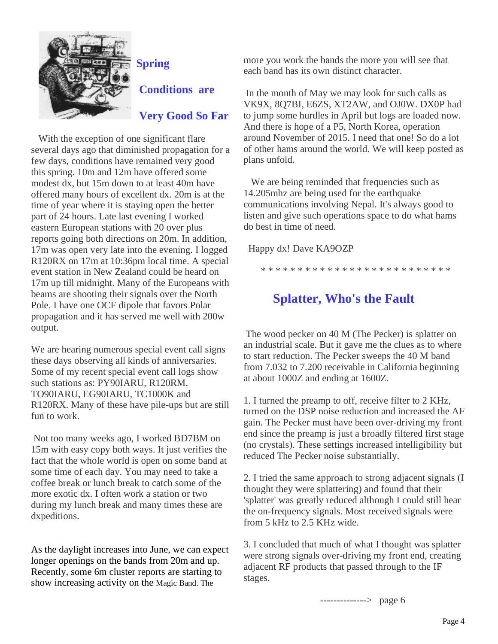

### **Spring Conditions are**

#### **Very Good So Far**

With the exception of one significant flare several days ago that diminished propagation for a few days, conditions have remained very good this spring. 10m and 12m have offered some modest dx, but 15m down to at least 40m have offered many hours of excellent dx. 20m is at the time of year where it is staying open the better part of 24 hours. Late last evening I worked eastern European stations with 20 over plus reports going both directions on 20m. In addition, 17m was open very late into the evening. I logged R120RX on 17m at 10:36pm local time. A special event station in New Zealand could be heard on 17m up till midnight. Many of the Europeans with beams are shooting their signals over the North Pole. I have one OCF dipole that favors Polar propagation and it has served me well with 200w output.

We are hearing numerous special event call signs these days observing all kinds of anniversaries. Some of my recent special event call logs show such stations as: PY90IARU, R120RM, TO90IARU, EG90IARU, TC1000K and R120RX. Many of these have pile-ups but are still fun to work.

Not too many weeks ago, I worked BD7BM on 15m with easy copy both ways. It just verifies the fact that the whole world is open on some band at some time of each day. You may need to take a coffee break or lunch break to catch some of the more exotic dx. I often work a station or two during my lunch break and many times these are dxpeditions.

As the daylight increases into June, we can expect longer openings on the bands from 20m and up. Recently, some 6m cluster reports are starting to show increasing activity on the Magic Band. The

more you work the bands the more you will see that each band has its own distinct character.

In the month of May we may look for such calls as VK9X, 8Q7BI, E6ZS, XT2AW, and OJ0W. DX0P had to jump some hurdles in April but logs are loaded now. And there is hope of a P5, North Korea, operation around November of 2015. I need that one! So do a lot of other hams around the world. We will keep posted as plans unfold.

We are being reminded that frequencies such as 14.205mhz are being used for the earthquake communications involving Nepal. It's always good to listen and give such operations space to do what hams do best in time of need.

Happy dx! Dave KA9OZP

\* \* \* \* \* \* \* \* \* \* \* \* \* \* \* \* \* \* \* \* \* \* \* \* \* \*

#### **Splatter, Who's the Fault**

The wood pecker on 40 M (The Pecker) is splatter on an industrial scale. But it gave me the clues as to where to start reduction. The Pecker sweeps the 40 M band from 7.032 to 7.200 receivable in California beginning at about 1000Z and ending at 1600Z.

1. I turned the preamp to off, receive filter to 2 KHz, turned on the DSP noise reduction and increased the AF gain. The Pecker must have been over-driving my front end since the preamp is just a broadly filtered first stage (no crystals). These settings increased intelligibility but reduced The Pecker noise substantially.

2. I tried the same approach to strong adjacent signals (I thought they were splattering) and found that their 'splatter' was greatly reduced although I could still hear the on-frequency signals. Most received signals were from 5 kHz to 2.5 KHz wide.

3. I concluded that much of what I thought was splatter were strong signals over-driving my front end, creating adjacent RF products that passed through to the IF stages.

--------------> page 6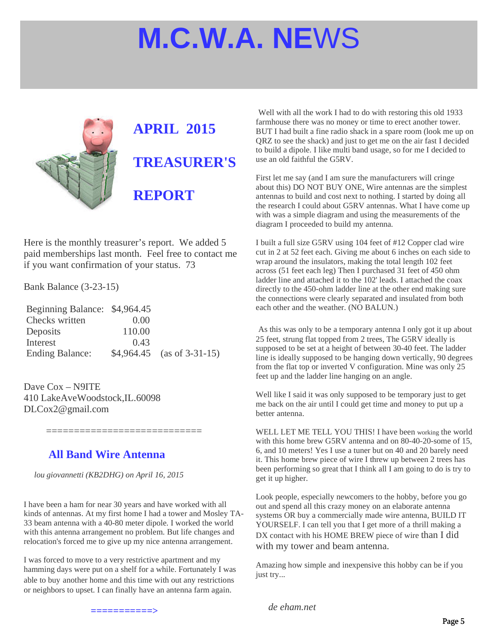

# **APRIL 2015 TREASURER'S REPORT**

Here is the monthly treasurer's report. We added 5 paid memberships last month. Feel free to contact me if you want confirmation of your status. 73

Bank Balance (3-23-15)

| Beginning Balance: \$4,964.45 |        |                             |
|-------------------------------|--------|-----------------------------|
| Checks written                | 0.00   |                             |
| Deposits                      | 110.00 |                             |
| Interest                      | 0.43   |                             |
| <b>Ending Balance:</b>        |        | $$4,964.45$ (as of 3-31-15) |

==============================

Dave Cox – N9ITE 410 LakeAveWoodstock,IL.60098 DLCox2@gmail.com

#### **All Band Wire Antenna**

*lou giovannetti (KB2DHG) on April 16, 2015*

I have been a ham for near 30 years and have worked with all kinds of antennas. At my first home I had a tower and Mosley TA-33 beam antenna with a 40-80 meter dipole. I worked the world with this antenna arrangement no problem. But life changes and relocation's forced me to give up my nice antenna arrangement.

I was forced to move to a very restrictive apartment and my hamming days were put on a shelf for a while. Fortunately I was able to buy another home and this time with out any restrictions or neighbors to upset. I can finally have an antenna farm again.

Well with all the work I had to do with restoring this old 1933 farmhouse there was no money or time to erect another tower. BUT I had built a fine radio shack in a spare room (look me up on QRZ to see the shack) and just to get me on the air fast I decided to build a dipole. I like multi band usage, so for me I decided to use an old faithful the G5RV.

First let me say (and I am sure the manufacturers will cringe about this) DO NOT BUY ONE, Wire antennas are the simplest antennas to build and cost next to nothing. I started by doing all the research I could about G5RV antennas. What I have come up with was a simple diagram and using the measurements of the diagram I proceeded to build my antenna.

I built a full size G5RV using 104 feet of #12 Copper clad wire cut in 2 at 52 feet each. Giving me about 6 inches on each side to wrap around the insulators, making the total length 102 feet across (51 feet each leg) Then I purchased 31 feet of 450 ohm ladder line and attached it to the 102' leads. I attached the coax directly to the 450-ohm ladder line at the other end making sure the connections were clearly separated and insulated from both each other and the weather. (NO BALUN.)

As this was only to be a temporary antenna I only got it up about 25 feet, strung flat topped from 2 trees, The G5RV ideally is supposed to be set at a height of between 30-40 feet. The ladder line is ideally supposed to be hanging down vertically, 90 degrees from the flat top or inverted V configuration. Mine was only 25 feet up and the ladder line hanging on an angle.

Well like I said it was only supposed to be temporary just to get me back on the air until I could get time and money to put up a better antenna.

WELL LET ME TELL YOU THIS! I have been working the world with this home brew G5RV antenna and on 80-40-20-some of 15, 6, and 10 meters! Yes I use a tuner but on 40 and 20 barely need it. This home brew piece of wire I threw up between 2 trees has been performing so great that I think all I am going to do is try to get it up higher.

Look people, especially newcomers to the hobby, before you go out and spend all this crazy money on an elaborate antenna systems OR buy a commercially made wire antenna, BUILD IT YOURSELF. I can tell you that I get more of a thrill making a DX contact with his HOME BREW piece of wire than I did with my tower and beam antenna.

Amazing how simple and inexpensive this hobby can be if you just try...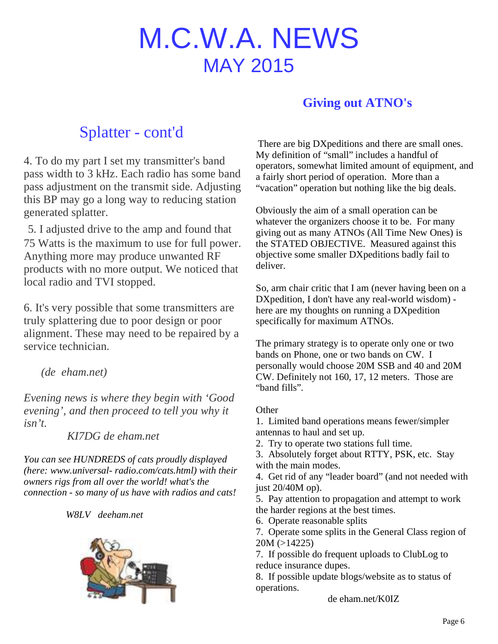## M.C.W.A. NEWS MAY 2015

#### **Giving out ATNO's**

### Splatter - cont'd

4. To do my part I set my transmitter's band pass width to 3 kHz. Each radio has some band pass adjustment on the transmit side. Adjusting this BP may go a long way to reducing station generated splatter.

5. I adjusted drive to the amp and found that 75 Watts is the maximum to use for full power. Anything more may produce unwanted RF products with no more output. We noticed that local radio and TVI stopped.

6. It's very possible that some transmitters are truly splattering due to poor design or poor alignment. These may need to be repaired by a service technician.

*(de eham.net)*

*Evening news is where they begin with 'Good evening', and then proceed to tell you why it isn't.*

*KI7DG de eham.net*

*You can see HUNDREDS of cats proudly displayed (here: www.universal- radio.com/cats.html) with their owners rigs from all over the world! what's the connection - so many of us have with radios and cats!*

*W8LV deeham.net*



There are big DXpeditions and there are small ones. My definition of "small" includes a handful of operators, somewhat limited amount of equipment, and a fairly short period of operation. More than a "vacation" operation but nothing like the big deals.

Obviously the aim of a small operation can be whatever the organizers choose it to be. For many giving out as many ATNOs (All Time New Ones) is the STATED OBJECTIVE. Measured against this objective some smaller DXpeditions badly fail to deliver.

So, arm chair critic that I am (never having been on a DXpedition, I don't have any real-world wisdom) here are my thoughts on running a DXpedition specifically for maximum ATNOs.

The primary strategy is to operate only one or two bands on Phone, one or two bands on CW. I personally would choose 20M SSB and 40 and 20M CW. Definitely not 160, 17, 12 meters. Those are "band fills".

#### **Other**

1. Limited band operations means fewer/simpler antennas to haul and set up.

2. Try to operate two stations full time.

3. Absolutely forget about RTTY, PSK, etc. Stay with the main modes.

4. Get rid of any "leader board" (and not needed with just 20/40M op).

5. Pay attention to propagation and attempt to work the harder regions at the best times.

6. Operate reasonable splits

7. Operate some splits in the General Class region of 20M (>14225)

7. If possible do frequent uploads to ClubLog to reduce insurance dupes.

8. If possible update blogs/website as to status of operations.

de eham.net/K0IZ